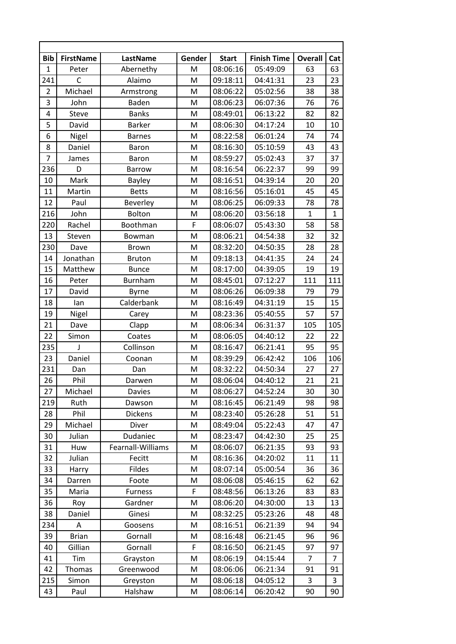| <b>Bib</b>     | <b>FirstName</b> | LastName          | Gender | <b>Start</b> | <b>Finish Time</b> | <b>Overall</b> | Cat            |
|----------------|------------------|-------------------|--------|--------------|--------------------|----------------|----------------|
| $\mathbf{1}$   | Peter            | Abernethy         | M      | 08:06:16     | 05:49:09           | 63             | 63             |
| 241            | C                | Alaimo            | M      | 09:18:11     | 04:41:31           | 23             | 23             |
| $\overline{2}$ | Michael          | Armstrong         | M      | 08:06:22     | 05:02:56           | 38             | 38             |
| 3              | John             | Baden             | M      | 08:06:23     | 06:07:36           | 76             | 76             |
| 4              | Steve            | <b>Banks</b>      | M      | 08:49:01     | 06:13:22           | 82             | 82             |
| 5              | David            | <b>Barker</b>     | M      | 08:06:30     | 04:17:24           | 10             | 10             |
| 6              | Nigel            | <b>Barnes</b>     | M      | 08:22:58     | 06:01:24           | 74             | 74             |
| 8              | Daniel           | <b>Baron</b>      | M      | 08:16:30     | 05:10:59           | 43             | 43             |
| $\overline{7}$ | James            | Baron             | M      | 08:59:27     | 05:02:43           | 37             | 37             |
| 236            | D                | <b>Barrow</b>     | M      | 08:16:54     | 06:22:37           | 99             | 99             |
| 10             | Mark             | <b>Bayley</b>     | M      | 08:16:51     | 04:39:14           | 20             | 20             |
| 11             | Martin           | <b>Betts</b>      | M      | 08:16:56     | 05:16:01           | 45             | 45             |
| 12             | Paul             | Beverley          | M      | 08:06:25     | 06:09:33           | 78             | 78             |
| 216            | John             | Bolton            | M      | 08:06:20     | 03:56:18           | $\mathbf{1}$   | $\mathbf{1}$   |
| 220            | Rachel           | Boothman          | F      | 08:06:07     | 05:43:30           | 58             | 58             |
| 13             | Steven           | Bowman            | M      | 08:06:21     | 04:54:38           | 32             | 32             |
| 230            | Dave             | <b>Brown</b>      | M      | 08:32:20     | 04:50:35           | 28             | 28             |
| 14             | Jonathan         | <b>Bruton</b>     | M      | 09:18:13     | 04:41:35           | 24             | 24             |
| 15             | Matthew          | <b>Bunce</b>      | M      | 08:17:00     | 04:39:05           | 19             | 19             |
| 16             | Peter            | Burnham           | M      | 08:45:01     | 07:12:27           | 111            | 111            |
| 17             | David            | <b>Byrne</b>      | M      | 08:06:26     | 06:09:38           | 79             | 79             |
| 18             | lan              | Calderbank        | M      | 08:16:49     | 04:31:19           | 15             | 15             |
| 19             | Nigel            | Carey             | M      | 08:23:36     | 05:40:55           | 57             | 57             |
| 21             | Dave             | Clapp             | M      | 08:06:34     | 06:31:37           | 105            | 105            |
| 22             | Simon            | Coates            | M      | 08:06:05     | 04:40:12           | 22             | 22             |
| 235            | J                | Collinson         | M      | 08:16:47     | 06:21:41           | 95             | 95             |
| 23             | Daniel           | Coonan            | M      | 08:39:29     | 06:42:42           | 106            | 106            |
| 231            | Dan              | Dan               | M      | 08:32:22     | 04:50:34           | 27             | 27             |
| 26             | Phil             | Darwen            | M      | 08:06:04     | 04:40:12           | 21             | 21             |
| 27             | Michael          | Davies            | Μ      | 08:06:27     | 04:52:24           | 30             | 30             |
| 219            | Ruth             | Dawson            | M      | 08:16:45     | 06:21:49           | 98             | 98             |
| 28             | Phil             | <b>Dickens</b>    | M      | 08:23:40     | 05:26:28           | 51             | 51             |
| 29             | Michael          | Diver             | M      | 08:49:04     | 05:22:43           | 47             | 47             |
| 30             | Julian           | Dudaniec          | M      | 08:23:47     | 04:42:30           | 25             | 25             |
| 31             | Huw              | Fearnall-Williams | M      | 08:06:07     | 06:21:35           | 93             | 93             |
| 32             | Julian           | Fecitt            | M      | 08:16:36     | 04:20:02           | 11             | 11             |
| 33             | Harry            | Fildes            | Μ      | 08:07:14     | 05:00:54           | 36             | 36             |
| 34             | Darren           | Foote             | M      | 08:06:08     | 05:46:15           | 62             | 62             |
| 35             | Maria            | <b>Furness</b>    | F      | 08:48:56     | 06:13:26           | 83             | 83             |
| 36             | Roy              | Gardner           | M      | 08:06:20     | 04:30:00           | 13             | 13             |
| 38             | Daniel           | Ginesi            | M      | 08:32:25     | 05:23:26           | 48             | 48             |
| 234            | A                | Goosens           | M      | 08:16:51     | 06:21:39           | 94             | 94             |
| 39             | <b>Brian</b>     | Gornall           | M      | 08:16:48     | 06:21:45           | 96             | 96             |
| 40             | Gillian          | Gornall           | F      | 08:16:50     | 06:21:45           | 97             | 97             |
| 41             | Tim              | Grayston          | M      | 08:06:19     | 04:15:44           | $\overline{7}$ | $\overline{7}$ |
| 42             | <b>Thomas</b>    | Greenwood         | M      | 08:06:06     | 06:21:34           | 91             | 91             |
| 215            | Simon            | Greyston          | M      | 08:06:18     | 04:05:12           | 3              | 3              |
| 43             | Paul             | Halshaw           | M      | 08:06:14     | 06:20:42           | 90             | 90             |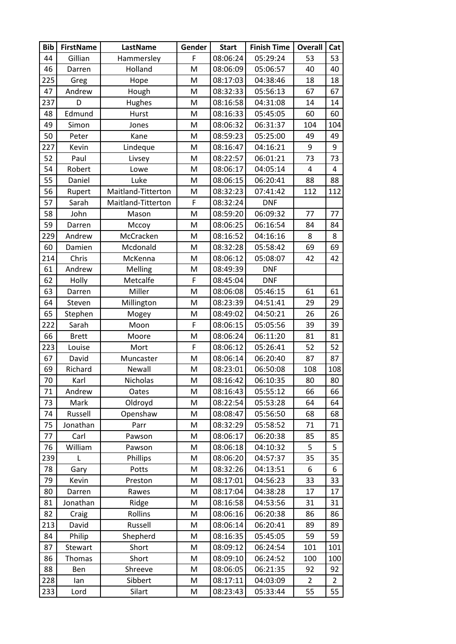| <b>Bib</b> | <b>FirstName</b> | LastName           | Gender | <b>Start</b> | <b>Finish Time</b> | <b>Overall</b> | Cat            |
|------------|------------------|--------------------|--------|--------------|--------------------|----------------|----------------|
| 44         | Gillian          | Hammersley         | F      | 08:06:24     | 05:29:24           | 53             | 53             |
| 46         | Darren           | Holland            | M      | 08:06:09     | 05:06:57           | 40             | 40             |
| 225        | Greg             | Hope               | M      | 08:17:03     | 04:38:46           | 18             | 18             |
| 47         | Andrew           | Hough              | M      | 08:32:33     | 05:56:13           | 67             | 67             |
| 237        | D                | Hughes             | M      | 08:16:58     | 04:31:08           | 14             | 14             |
| 48         | Edmund           | Hurst              | M      | 08:16:33     | 05:45:05           | 60             | 60             |
| 49         | Simon            | Jones              | M      | 08:06:32     | 06:31:37           | 104            | 104            |
| 50         | Peter            | Kane               | M      | 08:59:23     | 05:25:00           | 49             | 49             |
| 227        | Kevin            | Lindeque           | M      | 08:16:47     | 04:16:21           | 9              | 9              |
| 52         | Paul             | Livsey             | M      | 08:22:57     | 06:01:21           | 73             | 73             |
| 54         | Robert           | Lowe               | M      | 08:06:17     | 04:05:14           | 4              | 4              |
| 55         | Daniel           | Luke               | M      | 08:06:15     | 06:20:41           | 88             | 88             |
| 56         | Rupert           | Maitland-Titterton | M      | 08:32:23     | 07:41:42           | 112            | 112            |
| 57         | Sarah            | Maitland-Titterton | F      | 08:32:24     | <b>DNF</b>         |                |                |
| 58         | John             | Mason              | M      | 08:59:20     | 06:09:32           | 77             | 77             |
| 59         | Darren           | Mccoy              | M      | 08:06:25     | 06:16:54           | 84             | 84             |
| 229        | Andrew           | McCracken          | M      | 08:16:52     | 04:16:16           | 8              | 8              |
| 60         | Damien           | Mcdonald           | M      | 08:32:28     | 05:58:42           | 69             | 69             |
| 214        | Chris            | McKenna            | M      | 08:06:12     | 05:08:07           | 42             | 42             |
| 61         | Andrew           | Melling            | M      | 08:49:39     | <b>DNF</b>         |                |                |
| 62         | Holly            | Metcalfe           | F      | 08:45:04     | <b>DNF</b>         |                |                |
| 63         | Darren           | Miller             | M      | 08:06:08     | 05:46:15           | 61             | 61             |
| 64         | Steven           | Millington         | M      | 08:23:39     | 04:51:41           | 29             | 29             |
| 65         | Stephen          | Mogey              | M      | 08:49:02     | 04:50:21           | 26             | 26             |
| 222        | Sarah            | Moon               | F      | 08:06:15     | 05:05:56           | 39             | 39             |
| 66         | <b>Brett</b>     | Moore              | M      | 08:06:24     | 06:11:20           | 81             | 81             |
| 223        | Louise           | Mort               | F      | 08:06:12     | 05:26:41           | 52             | 52             |
| 67         | David            | Muncaster          | M      | 08:06:14     | 06:20:40           | 87             | 87             |
| 69         | Richard          | Newall             | M      | 08:23:01     | 06:50:08           | 108            | 108            |
| 70         | Karl             | Nicholas           | M      | 08:16:42     | 06:10:35           | 80             | 80             |
| 71         | Andrew           | Oates              | M      | 08:16:43     | 05:55:12           | 66             | 66             |
| 73         | Mark             | Oldroyd            | M      | 08:22:54     | 05:53:28           | 64             | 64             |
| 74         | Russell          | Openshaw           | M      | 08:08:47     | 05:56:50           | 68             | 68             |
| 75         | Jonathan         | Parr               | M      | 08:32:29     | 05:58:52           | 71             | 71             |
| 77         | Carl             | Pawson             | Μ      | 08:06:17     | 06:20:38           | 85             | 85             |
| 76         | William          | Pawson             | M      | 08:06:18     | 04:10:32           | 5              | 5              |
| 239        | L                | Phillips           | M      | 08:06:20     | 04:57:37           | 35             | 35             |
| 78         | Gary             | Potts              | M      | 08:32:26     | 04:13:51           | 6              | 6              |
| 79         | Kevin            | Preston            | M      | 08:17:01     | 04:56:23           | 33             | 33             |
| 80         | Darren           | Rawes              | M      | 08:17:04     | 04:38:28           | 17             | 17             |
| 81         | Jonathan         | Ridge              | M      | 08:16:58     | 04:53:56           | 31             | 31             |
| 82         | Craig            | Rollins            | Μ      | 08:06:16     | 06:20:38           | 86             | 86             |
| 213        | David            | Russell            | M      | 08:06:14     | 06:20:41           | 89             | 89             |
| 84         | Philip           | Shepherd           | M      | 08:16:35     | 05:45:05           | 59             | 59             |
| 87         | Stewart          | Short              | M      | 08:09:12     | 06:24:54           | 101            | 101            |
| 86         | Thomas           | Short              | M      | 08:09:10     | 06:24:52           | 100            | 100            |
| 88         | Ben              | Shreeve            | M      | 08:06:05     | 06:21:35           | 92             | 92             |
| 228        | lan              | Sibbert            | M      | 08:17:11     | 04:03:09           | $\overline{2}$ | $\overline{2}$ |
| 233        | Lord             | Silart             | M      | 08:23:43     | 05:33:44           | 55             | 55             |